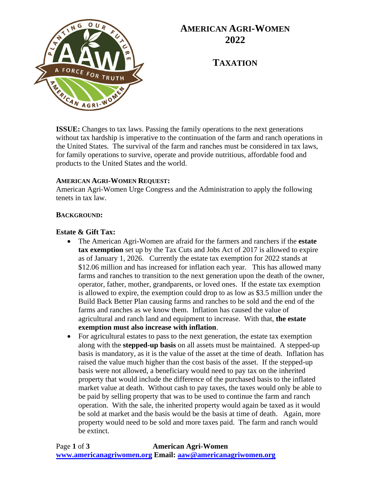

## **AMERICAN AGRI-WOMEN 2022**

**TAXATION**

**ISSUE:** Changes to tax laws. Passing the family operations to the next generations without tax hardship is imperative to the continuation of the farm and ranch operations in the United States. The survival of the farm and ranches must be considered in tax laws, for family operations to survive, operate and provide nutritious, affordable food and products to the United States and the world.

#### **AMERICAN AGRI-WOMEN REQUEST:**

American Agri-Women Urge Congress and the Administration to apply the following tenets in tax law.

#### **BACKGROUND:**

#### **Estate & Gift Tax:**

- The American Agri-Women are afraid for the farmers and ranchers if the **estate tax exemption** set up by the Tax Cuts and Jobs Act of 2017 is allowed to expire as of January 1, 2026. Currently the estate tax exemption for 2022 stands at \$12.06 million and has increased for inflation each year. This has allowed many farms and ranches to transition to the next generation upon the death of the owner, operator, father, mother, grandparents, or loved ones. If the estate tax exemption is allowed to expire, the exemption could drop to as low as \$3.5 million under the Build Back Better Plan causing farms and ranches to be sold and the end of the farms and ranches as we know them. Inflation has caused the value of agricultural and ranch land and equipment to increase. With that, **the estate exemption must also increase with inflation**.
- For agricultural estates to pass to the next generation, the estate tax exemption along with the **stepped-up basis** on all assets must be maintained. A stepped-up basis is mandatory, as it is the value of the asset at the time of death. Inflation has raised the value much higher than the cost basis of the asset. If the stepped-up basis were not allowed, a beneficiary would need to pay tax on the inherited property that would include the difference of the purchased basis to the inflated market value at death. Without cash to pay taxes, the taxes would only be able to be paid by selling property that was to be used to continue the farm and ranch operation. With the sale, the inherited property would again be taxed as it would be sold at market and the basis would be the basis at time of death. Again, more property would need to be sold and more taxes paid. The farm and ranch would be extinct.

Page **1** of **3 American Agri-Women [www.americanagriwomen.org](http://www.americanagriwomen.org/) Email: [aaw@americanagriwomen.org](mailto:aaw@americanagriwomen.org)**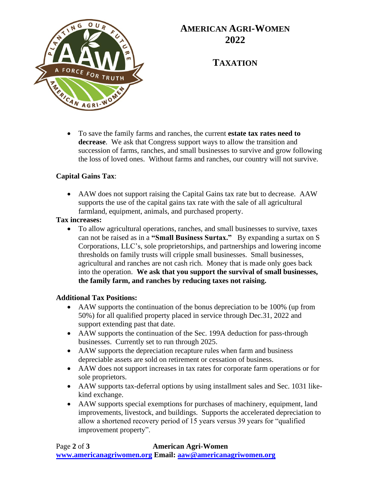

## **AMERICAN AGRI-WOMEN 2022**

**TAXATION**

• To save the family farms and ranches, the current **estate tax rates need to decrease**. We ask that Congress support ways to allow the transition and succession of farms, ranches, and small businesses to survive and grow following the loss of loved ones. Without farms and ranches, our country will not survive.

### **Capital Gains Tax**:

• AAW does not support raising the Capital Gains tax rate but to decrease. AAW supports the use of the capital gains tax rate with the sale of all agricultural farmland, equipment, animals, and purchased property.

### **Tax increases:**

• To allow agricultural operations, ranches, and small businesses to survive, taxes can not be raised as in a **"Small Business Surtax."** By expanding a surtax on S Corporations, LLC's, sole proprietorships, and partnerships and lowering income thresholds on family trusts will cripple small businesses. Small businesses, agricultural and ranches are not cash rich. Money that is made only goes back into the operation. **We ask that you support the survival of small businesses, the family farm, and ranches by reducing taxes not raising.** 

### **Additional Tax Positions:**

- AAW supports the continuation of the bonus depreciation to be 100% (up from 50%) for all qualified property placed in service through Dec.31, 2022 and support extending past that date.
- AAW supports the continuation of the Sec. 199A deduction for pass-through businesses. Currently set to run through 2025.
- AAW supports the depreciation recapture rules when farm and business depreciable assets are sold on retirement or cessation of business.
- AAW does not support increases in tax rates for corporate farm operations or for sole proprietors.
- AAW supports tax-deferral options by using installment sales and Sec. 1031 likekind exchange.
- AAW supports special exemptions for purchases of machinery, equipment, land improvements, livestock, and buildings. Supports the accelerated depreciation to allow a shortened recovery period of 15 years versus 39 years for "qualified improvement property".